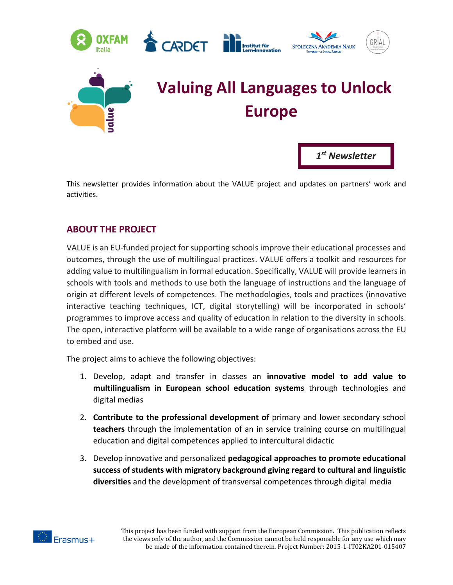



# **Valuing All Languages to Unlock Europe**

*1 st Newsletter*

This newsletter provides information about the VALUE project and updates on partners' work and activities.

# **ABOUT THE PROJECT**

VALUE is an EU-funded project for supporting schools improve their educational processes and outcomes, through the use of multilingual practices. VALUE offers a toolkit and resources for adding value to multilingualism in formal education. Specifically, VALUE will provide learners in schools with tools and methods to use both the language of instructions and the language of origin at different levels of competences. The methodologies, tools and practices (innovative interactive teaching techniques, ICT, digital storytelling) will be incorporated in schools' programmes to improve access and quality of education in relation to the diversity in schools. The open, interactive platform will be available to a wide range of organisations across the EU to embed and use.

The project aims to achieve the following objectives:

- 1. Develop, adapt and transfer in classes an **innovative model to add value to multilingualism in European school education systems** through technologies and digital medias
- 2. **Contribute to the professional development of** primary and lower secondary school **teachers** through the implementation of an in service training course on multilingual education and digital competences applied to intercultural didactic
- 3. Develop innovative and personalized **pedagogical approaches to promote educational success of students with migratory background giving regard to cultural and linguistic diversities** and the development of transversal competences through digital media

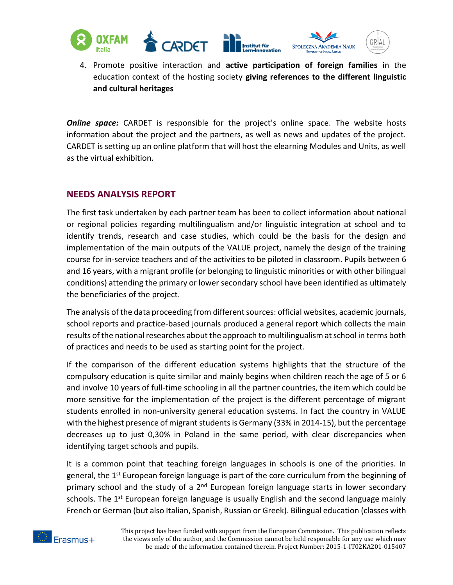

4. Promote positive interaction and **active participation of foreign families** in the education context of the hosting society **giving references to the different linguistic and cultural heritages**

*Online space:* CARDET is responsible for the project's online space. The website hosts information about the project and the partners, as well as news and updates of the project. CARDET is setting up an online platform that will host the elearning Modules and Units, as well as the virtual exhibition.

### **NEEDS ANALYSIS REPORT**

The first task undertaken by each partner team has been to collect information about national or regional policies regarding multilingualism and/or linguistic integration at school and to identify trends, research and case studies, which could be the basis for the design and implementation of the main outputs of the VALUE project, namely the design of the training course for in-service teachers and of the activities to be piloted in classroom. Pupils between 6 and 16 years, with a migrant profile (or belonging to linguistic minorities or with other bilingual conditions) attending the primary or lower secondary school have been identified as ultimately the beneficiaries of the project.

The analysis of the data proceeding from different sources: official websites, academic journals, school reports and practice-based journals produced a general report which collects the main results of the national researches about the approach to multilingualism at school in terms both of practices and needs to be used as starting point for the project.

If the comparison of the different education systems highlights that the structure of the compulsory education is quite similar and mainly begins when children reach the age of 5 or 6 and involve 10 years of full-time schooling in all the partner countries, the item which could be more sensitive for the implementation of the project is the different percentage of migrant students enrolled in non-university general education systems. In fact the country in VALUE with the highest presence of migrant students is Germany (33% in 2014-15), but the percentage decreases up to just 0,30% in Poland in the same period, with clear discrepancies when identifying target schools and pupils.

It is a common point that teaching foreign languages in schools is one of the priorities. In general, the 1<sup>st</sup> European foreign language is part of the core curriculum from the beginning of primary school and the study of a  $2<sup>nd</sup>$  European foreign language starts in lower secondary schools. The  $1<sup>st</sup>$  European foreign language is usually English and the second language mainly French or German (but also Italian, Spanish, Russian or Greek). Bilingual education (classes with

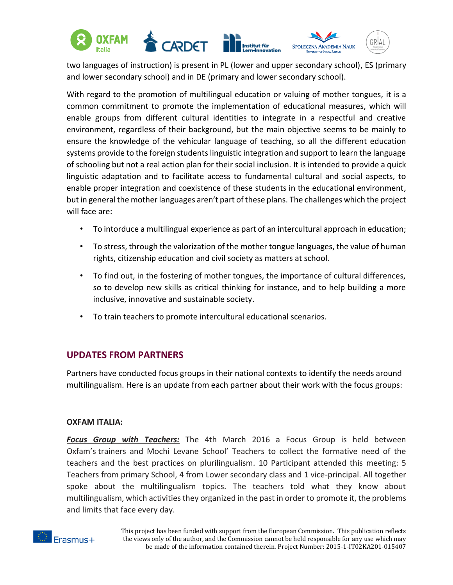

two languages of instruction) is present in PL (lower and upper secondary school), ES (primary and lower secondary school) and in DE (primary and lower secondary school).

With regard to the promotion of multilingual education or valuing of mother tongues, it is a common commitment to promote the implementation of educational measures, which will enable groups from different cultural identities to integrate in a respectful and creative environment, regardless of their background, but the main objective seems to be mainly to ensure the knowledge of the vehicular language of teaching, so all the different education systems provide to the foreign students linguistic integration and support to learn the language of schooling but not a real action plan for their social inclusion. It is intended to provide a quick linguistic adaptation and to facilitate access to fundamental cultural and social aspects, to enable proper integration and coexistence of these students in the educational environment, but in general the mother languages aren't part of these plans. The challenges which the project will face are:

- To intorduce a multilingual experience as part of an intercultural approach in education;
- To stress, through the valorization of the mother tongue languages, the value of human rights, citizenship education and civil society as matters at school.
- To find out, in the fostering of mother tongues, the importance of cultural differences, so to develop new skills as critical thinking for instance, and to help building a more inclusive, innovative and sustainable society.
- To train teachers to promote intercultural educational scenarios.

# **UPDATES FROM PARTNERS**

Partners have conducted focus groups in their national contexts to identify the needs around multilingualism. Here is an update from each partner about their work with the focus groups:

#### **OXFAM ITALIA:**

*Focus Group with Teachers:* The 4th March 2016 a Focus Group is held between Oxfam's trainers and Mochi Levane School' Teachers to collect the formative need of the teachers and the best practices on plurilingualism. 10 Participant attended this meeting: 5 Teachers from primary School, 4 from Lower secondary class and 1 vice-principal. All together spoke about the multilingualism topics. The teachers told what they know about multilingualism, which activities they organized in the past in order to promote it, the problems and limits that face every day.

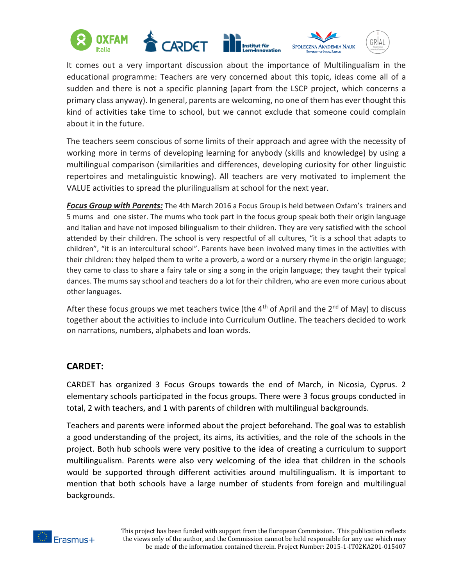

It comes out a very important discussion about the importance of Multilingualism in the educational programme: Teachers are very concerned about this topic, ideas come all of a sudden and there is not a specific planning (apart from the LSCP project, which concerns a primary class anyway). In general, parents are welcoming, no one of them has ever thought this kind of activities take time to school, but we cannot exclude that someone could complain about it in the future.

The teachers seem conscious of some limits of their approach and agree with the necessity of working more in terms of developing learning for anybody (skills and knowledge) by using a multilingual comparison (similarities and differences, developing curiosity for other linguistic repertoires and metalinguistic knowing). All teachers are very motivated to implement the VALUE activities to spread the plurilingualism at school for the next year.

*Focus Group with Parents:* The 4th March 2016 a Focus Group is held between Oxfam's trainers and 5 mums and one sister. The mums who took part in the focus group speak both their origin language and Italian and have not imposed bilingualism to their children. They are very satisfied with the school attended by their children. The school is very respectful of all cultures, "it is a school that adapts to children", "it is an intercultural school". Parents have been involved many times in the activities with their children: they helped them to write a proverb, a word or a nursery rhyme in the origin language; they came to class to share a fairy tale or sing a song in the origin language; they taught their typical dances. The mums say school and teachers do a lot for their children, who are even more curious about other languages.

After these focus groups we met teachers twice (the  $4<sup>th</sup>$  of April and the  $2<sup>nd</sup>$  of May) to discuss together about the activities to include into Curriculum Outline. The teachers decided to work on narrations, numbers, alphabets and loan words.

# **CARDET:**

CARDET has organized 3 Focus Groups towards the end of March, in Nicosia, Cyprus. 2 elementary schools participated in the focus groups. There were 3 focus groups conducted in total, 2 with teachers, and 1 with parents of children with multilingual backgrounds.

Teachers and parents were informed about the project beforehand. The goal was to establish a good understanding of the project, its aims, its activities, and the role of the schools in the project. Both hub schools were very positive to the idea of creating a curriculum to support multilingualism. Parents were also very welcoming of the idea that children in the schools would be supported through different activities around multilingualism. It is important to mention that both schools have a large number of students from foreign and multilingual backgrounds.

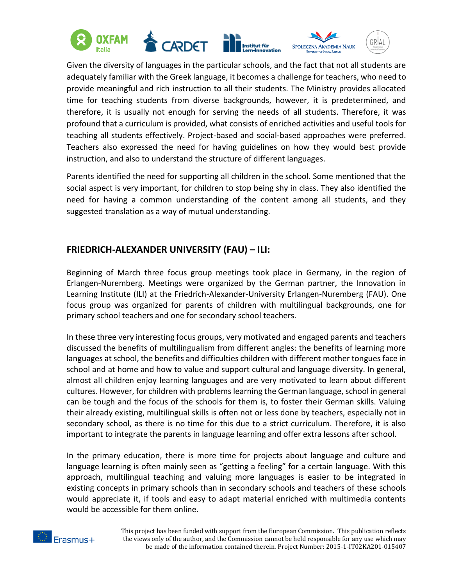

Given the diversity of languages in the particular schools, and the fact that not all students are adequately familiar with the Greek language, it becomes a challenge for teachers, who need to provide meaningful and rich instruction to all their students. The Ministry provides allocated time for teaching students from diverse backgrounds, however, it is predetermined, and therefore, it is usually not enough for serving the needs of all students. Therefore, it was profound that a curriculum is provided, what consists of enriched activities and useful tools for teaching all students effectively. Project-based and social-based approaches were preferred. Teachers also expressed the need for having guidelines on how they would best provide instruction, and also to understand the structure of different languages.

Parents identified the need for supporting all children in the school. Some mentioned that the social aspect is very important, for children to stop being shy in class. They also identified the need for having a common understanding of the content among all students, and they suggested translation as a way of mutual understanding.

## **FRIEDRICH-ALEXANDER UNIVERSITY (FAU) – ILI:**

Beginning of March three focus group meetings took place in Germany, in the region of Erlangen-Nuremberg. Meetings were organized by the German partner, the Innovation in Learning Institute (ILI) at the Friedrich-Alexander-University Erlangen-Nuremberg (FAU). One focus group was organized for parents of children with multilingual backgrounds, one for primary school teachers and one for secondary school teachers.

In these three very interesting focus groups, very motivated and engaged parents and teachers discussed the benefits of multilingualism from different angles: the benefits of learning more languages at school, the benefits and difficulties children with different mother tongues face in school and at home and how to value and support cultural and language diversity. In general, almost all children enjoy learning languages and are very motivated to learn about different cultures. However, for children with problems learning the German language, school in general can be tough and the focus of the schools for them is, to foster their German skills. Valuing their already existing, multilingual skills is often not or less done by teachers, especially not in secondary school, as there is no time for this due to a strict curriculum. Therefore, it is also important to integrate the parents in language learning and offer extra lessons after school.

In the primary education, there is more time for projects about language and culture and language learning is often mainly seen as "getting a feeling" for a certain language. With this approach, multilingual teaching and valuing more languages is easier to be integrated in existing concepts in primary schools than in secondary schools and teachers of these schools would appreciate it, if tools and easy to adapt material enriched with multimedia contents would be accessible for them online.

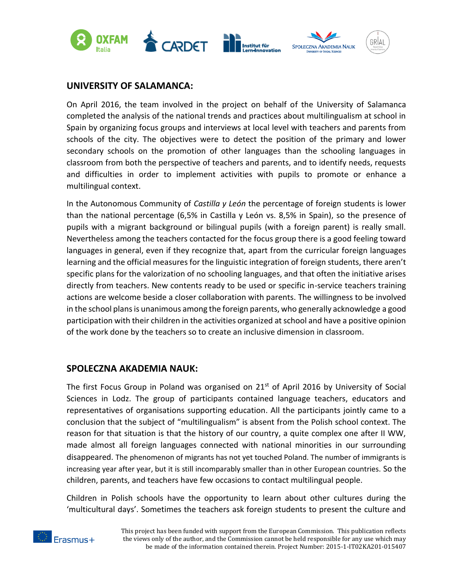

### **UNIVERSITY OF SALAMANCA:**

On April 2016, the team involved in the project on behalf of the University of Salamanca completed the analysis of the national trends and practices about multilingualism at school in Spain by organizing focus groups and interviews at local level with teachers and parents from schools of the city. The objectives were to detect the position of the primary and lower secondary schools on the promotion of other languages than the schooling languages in classroom from both the perspective of teachers and parents, and to identify needs, requests and difficulties in order to implement activities with pupils to promote or enhance a multilingual context.

In the Autonomous Community of *Castilla y León* the percentage of foreign students is lower than the national percentage (6,5% in Castilla y León vs. 8,5% in Spain), so the presence of pupils with a migrant background or bilingual pupils (with a foreign parent) is really small. Nevertheless among the teachers contacted for the focus group there is a good feeling toward languages in general, even if they recognize that, apart from the curricular foreign languages learning and the official measures for the linguistic integration of foreign students, there aren't specific plans for the valorization of no schooling languages, and that often the initiative arises directly from teachers. New contents ready to be used or specific in-service teachers training actions are welcome beside a closer collaboration with parents. The willingness to be involved in the school plans is unanimous among the foreign parents, who generally acknowledge a good participation with their children in the activities organized at school and have a positive opinion of the work done by the teachers so to create an inclusive dimension in classroom.

#### **SPOLECZNA AKADEMIA NAUK:**

The first Focus Group in Poland was organised on  $21<sup>st</sup>$  of April 2016 by University of Social Sciences in Lodz. The group of participants contained language teachers, educators and representatives of organisations supporting education. All the participants jointly came to a conclusion that the subject of "multilingualism" is absent from the Polish school context. The reason for that situation is that the history of our country, a quite complex one after II WW, made almost all foreign languages connected with national minorities in our surrounding disappeared. The phenomenon of migrants has not yet touched Poland. The number of immigrants is increasing year after year, but it is still incomparably smaller than in other European countries. So the children, parents, and teachers have few occasions to contact multilingual people.

Children in Polish schools have the opportunity to learn about other cultures during the 'multicultural days'. Sometimes the teachers ask foreign students to present the culture and